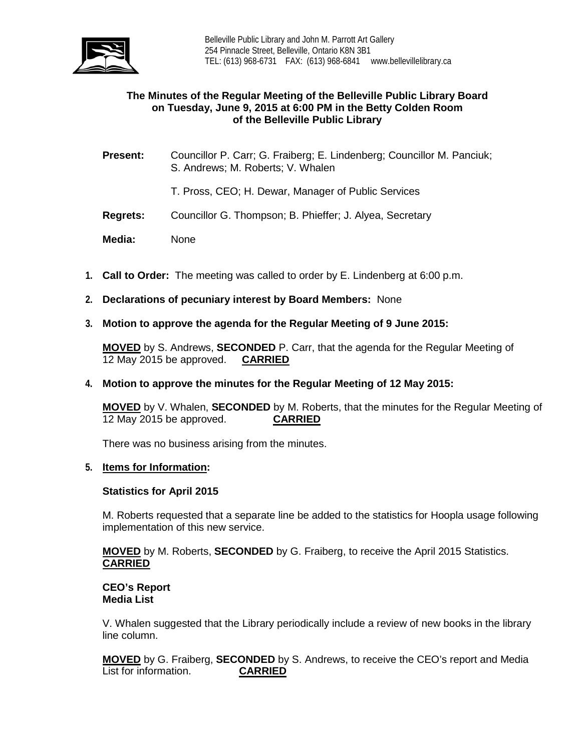

# **The Minutes of the Regular Meeting of the Belleville Public Library Board on Tuesday, June 9, 2015 at 6:00 PM in the Betty Colden Room of the Belleville Public Library**

- **Present:** Councillor P. Carr; G. Fraiberg; E. Lindenberg; Councillor M. Panciuk; S. Andrews; M. Roberts; V. Whalen
	- T. Pross, CEO; H. Dewar, Manager of Public Services
- **Regrets:** Councillor G. Thompson; B. Phieffer; J. Alyea, Secretary

**Media:** None

- **1. Call to Order:** The meeting was called to order by E. Lindenberg at 6:00 p.m.
- **2. Declarations of pecuniary interest by Board Members:** None
- **3. Motion to approve the agenda for the Regular Meeting of 9 June 2015:**

**MOVED** by S. Andrews, **SECONDED** P. Carr, that the agenda for the Regular Meeting of 12 May 2015 be approved. **CARRIED**

**4. Motion to approve the minutes for the Regular Meeting of 12 May 2015:**

**MOVED** by V. Whalen, **SECONDED** by M. Roberts, that the minutes for the Regular Meeting of 12 May 2015 be approved. **CARRIED**

There was no business arising from the minutes.

## **5. Items for Information:**

## **Statistics for April 2015**

M. Roberts requested that a separate line be added to the statistics for Hoopla usage following implementation of this new service.

**MOVED** by M. Roberts, **SECONDED** by G. Fraiberg, to receive the April 2015 Statistics. **CARRIED**

## **CEO's Report Media List**

V. Whalen suggested that the Library periodically include a review of new books in the library line column.

**MOVED** by G. Fraiberg, **SECONDED** by S. Andrews, to receive the CEO's report and Media List for information. **CARRIED**